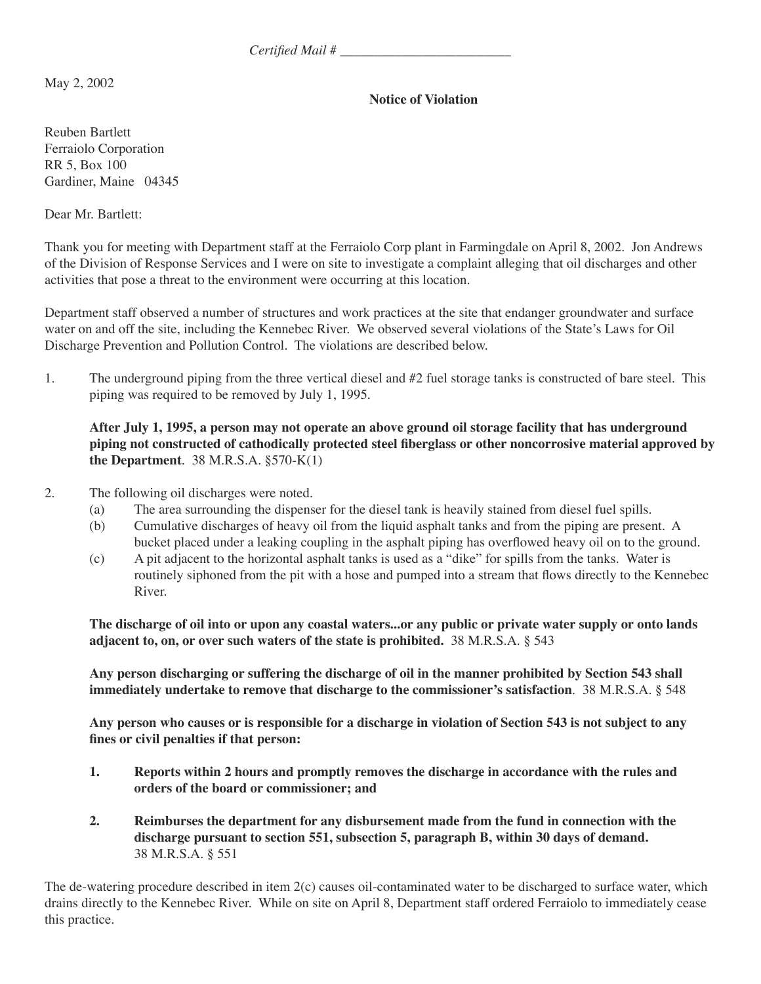*Certified Mail # \_\_\_\_\_\_\_\_\_\_\_\_\_\_\_\_\_\_\_\_\_\_\_\_\_*

May 2, 2002

## **Notice of Violation**

Reuben Bartlett Ferraiolo Corporation RR 5, Box 100 Gardiner, Maine 04345

Dear Mr. Bartlett:

Thank you for meeting with Department staff at the Ferraiolo Corp plant in Farmingdale on April 8, 2002. Jon Andrews of the Division of Response Services and I were on site to investigate a complaint alleging that oil discharges and other activities that pose a threat to the environment were occurring at this location.

Department staff observed a number of structures and work practices at the site that endanger groundwater and surface water on and off the site, including the Kennebec River. We observed several violations of the State's Laws for Oil Discharge Prevention and Pollution Control. The violations are described below.

1. The underground piping from the three vertical diesel and #2 fuel storage tanks is constructed of bare steel. This piping was required to be removed by July 1, 1995.

**After July 1, 1995, a person may not operate an above ground oil storage facility that has underground piping not constructed of cathodically protected steel fiberglass or other noncorrosive material approved by the Department**. 38 M.R.S.A. §570-K(1)

- 2. The following oil discharges were noted.
	- (a) The area surrounding the dispenser for the diesel tank is heavily stained from diesel fuel spills.
	- (b) Cumulative discharges of heavy oil from the liquid asphalt tanks and from the piping are present. A bucket placed under a leaking coupling in the asphalt piping has overflowed heavy oil on to the ground.
	- (c) A pit adjacent to the horizontal asphalt tanks is used as a "dike" for spills from the tanks. Water is routinely siphoned from the pit with a hose and pumped into a stream that flows directly to the Kennebec River.

**The discharge of oil into or upon any coastal waters...or any public or private water supply or onto lands adjacent to, on, or over such waters of the state is prohibited.** 38 M.R.S.A. § 543

**Any person discharging or suffering the discharge of oil in the manner prohibited by Section 543 shall immediately undertake to remove that discharge to the commissioner's satisfaction**. 38 M.R.S.A. § 548

**Any person who causes or is responsible for a discharge in violation of Section 543 is not subject to any fines or civil penalties if that person:**

- **1. Reports within 2 hours and promptly removes the discharge in accordance with the rules and orders of the board or commissioner; and**
- **2. Reimburses the department for any disbursement made from the fund in connection with the discharge pursuant to section 551, subsection 5, paragraph B, within 30 days of demand.** 38 M.R.S.A. § 551

The de-watering procedure described in item 2(c) causes oil-contaminated water to be discharged to surface water, which drains directly to the Kennebec River. While on site on April 8, Department staff ordered Ferraiolo to immediately cease this practice.